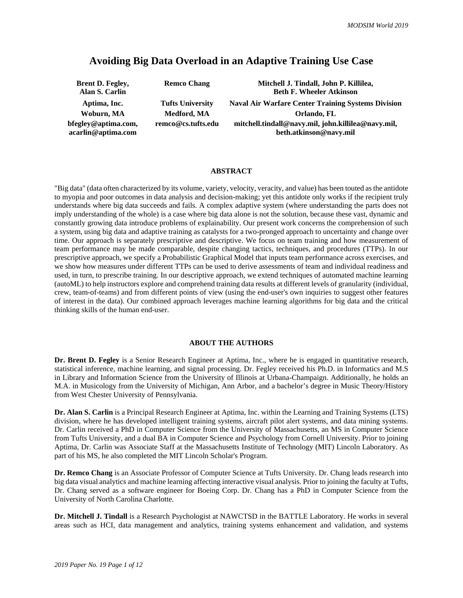# **Avoiding Big Data Overload in an Adaptive Training Use Case**

| <b>Brent D. Fegley,</b><br>Alan S. Carlin | <b>Remco Chang</b>      | Mitchell J. Tindall, John P. Killilea,<br><b>Beth F. Wheeler Atkinson</b>    |
|-------------------------------------------|-------------------------|------------------------------------------------------------------------------|
| Aptima, Inc.                              | <b>Tufts University</b> | <b>Naval Air Warfare Center Training Systems Division</b>                    |
| Woburn, MA                                | Medford, MA             | Orlando, FL                                                                  |
| bfegley@aptima.com,<br>acarlin@aptima.com | remco@cs.tufts.edu      | mitchell.tindall@navy.mil, john.killilea@navy.mil,<br>beth.atkinson@navy.mil |

#### **ABSTRACT**

"Big data" (data often characterized by its volume, variety, velocity, veracity, and value) has been touted as the antidote to myopia and poor outcomes in data analysis and decision-making; yet this antidote only works if the recipient truly understands where big data succeeds and fails. A complex adaptive system (where understanding the parts does not imply understanding of the whole) is a case where big data alone is not the solution, because these vast, dynamic and constantly growing data introduce problems of explainability. Our present work concerns the comprehension of such a system, using big data and adaptive training as catalysts for a two-pronged approach to uncertainty and change over time. Our approach is separately prescriptive and descriptive. We focus on team training and how measurement of team performance may be made comparable, despite changing tactics, techniques, and procedures (TTPs). In our prescriptive approach, we specify a Probabilistic Graphical Model that inputs team performance across exercises, and we show how measures under different TTPs can be used to derive assessments of team and individual readiness and used, in turn, to prescribe training. In our descriptive approach, we extend techniques of automated machine learning (autoML) to help instructors explore and comprehend training data results at different levels of granularity (individual, crew, team-of-teams) and from different points of view (using the end-user's own inquiries to suggest other features of interest in the data). Our combined approach leverages machine learning algorithms for big data and the critical thinking skills of the human end-user.

### **ABOUT THE AUTHORS**

**Dr. Brent D. Fegley** is a Senior Research Engineer at Aptima, Inc., where he is engaged in quantitative research, statistical inference, machine learning, and signal processing. Dr. Fegley received his Ph.D. in Informatics and M.S in Library and Information Science from the University of Illinois at Urbana-Champaign. Additionally, he holds an M.A. in Musicology from the University of Michigan, Ann Arbor, and a bachelor's degree in Music Theory/History from West Chester University of Pennsylvania.

**Dr. Alan S. Carlin** is a Principal Research Engineer at Aptima, Inc. within the Learning and Training Systems (LTS) division, where he has developed intelligent training systems, aircraft pilot alert systems, and data mining systems. Dr. Carlin received a PhD in Computer Science from the University of Massachusetts, an MS in Computer Science from Tufts University, and a dual BA in Computer Science and Psychology from Cornell University. Prior to joining Aptima, Dr. Carlin was Associate Staff at the Massachusetts Institute of Technology (MIT) Lincoln Laboratory. As part of his MS, he also completed the MIT Lincoln Scholar's Program.

**Dr. Remco Chang** is an Associate Professor of Computer Science at Tufts University. Dr. Chang leads research into big data visual analytics and machine learning affecting interactive visual analysis. Prior to joining the faculty at Tufts, Dr. Chang served as a software engineer for Boeing Corp. Dr. Chang has a PhD in Computer Science from the University of North Carolina Charlotte.

**Dr. Mitchell J. Tindall** is a Research Psychologist at NAWCTSD in the BATTLE Laboratory. He works in several areas such as HCI, data management and analytics, training systems enhancement and validation, and systems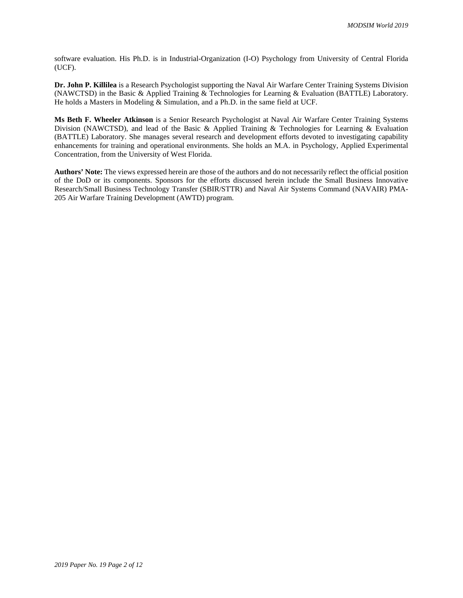software evaluation. His Ph.D. is in Industrial-Organization (I-O) Psychology from University of Central Florida (UCF).

**Dr. John P. Killilea** is a Research Psychologist supporting the Naval Air Warfare Center Training Systems Division (NAWCTSD) in the Basic & Applied Training & Technologies for Learning & Evaluation (BATTLE) Laboratory. He holds a Masters in Modeling & Simulation, and a Ph.D. in the same field at UCF.

**Ms Beth F. Wheeler Atkinson** is a Senior Research Psychologist at Naval Air Warfare Center Training Systems Division (NAWCTSD), and lead of the Basic & Applied Training & Technologies for Learning & Evaluation (BATTLE) Laboratory. She manages several research and development efforts devoted to investigating capability enhancements for training and operational environments. She holds an M.A. in Psychology, Applied Experimental Concentration, from the University of West Florida.

**Authors' Note:** The views expressed herein are those of the authors and do not necessarily reflect the official position of the DoD or its components. Sponsors for the efforts discussed herein include the Small Business Innovative Research/Small Business Technology Transfer (SBIR/STTR) and Naval Air Systems Command (NAVAIR) PMA-205 Air Warfare Training Development (AWTD) program.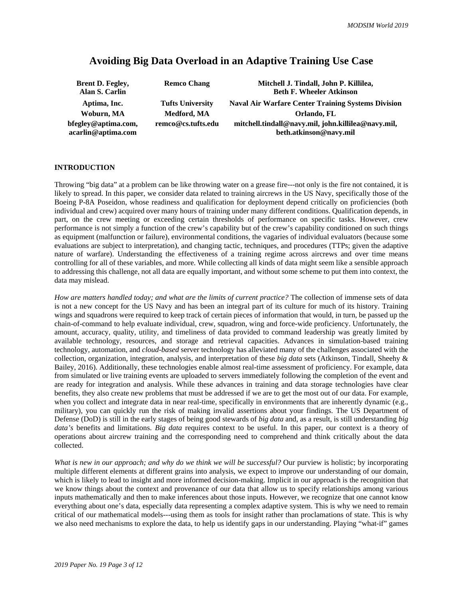# **Avoiding Big Data Overload in an Adaptive Training Use Case**

| <b>Brent D. Fegley,</b><br>Alan S. Carlin | <b>Remco Chang</b>      | Mitchell J. Tindall, John P. Killilea,<br><b>Beth F. Wheeler Atkinson</b>    |
|-------------------------------------------|-------------------------|------------------------------------------------------------------------------|
| Aptima, Inc.                              | <b>Tufts University</b> | <b>Naval Air Warfare Center Training Systems Division</b>                    |
| Woburn, MA                                | Medford, MA             | Orlando, FL                                                                  |
| bfegley@aptima.com,<br>acarlin@aptima.com | remco@cs.tufts.edu      | mitchell.tindall@navy.mil, john.killilea@navy.mil,<br>beth.atkinson@navy.mil |

## **INTRODUCTION**

Throwing "big data" at a problem can be like throwing water on a grease fire---not only is the fire not contained, it is likely to spread. In this paper, we consider data related to training aircrews in the US Navy, specifically those of the Boeing P-8A Poseidon, whose readiness and qualification for deployment depend critically on proficiencies (both individual and crew) acquired over many hours of training under many different conditions. Qualification depends, in part, on the crew meeting or exceeding certain thresholds of performance on specific tasks. However, crew performance is not simply a function of the crew's capability but of the crew's capability conditioned on such things as equipment (malfunction or failure), environmental conditions, the vagaries of individual evaluators (because some evaluations are subject to interpretation), and changing tactic, techniques, and procedures (TTPs; given the adaptive nature of warfare). Understanding the effectiveness of a training regime across aircrews and over time means controlling for all of these variables, and more. While collecting all kinds of data might seem like a sensible approach to addressing this challenge, not all data are equally important, and without some scheme to put them into context, the data may mislead.

*How are matters handled today; and what are the limits of current practice?* The collection of immense sets of data is not a new concept for the US Navy and has been an integral part of its culture for much of its history. Training wings and squadrons were required to keep track of certain pieces of information that would, in turn, be passed up the chain-of-command to help evaluate individual, crew, squadron, wing and force-wide proficiency. Unfortunately, the amount, accuracy, quality, utility, and timeliness of data provided to command leadership was greatly limited by available technology, resources, and storage and retrieval capacities. Advances in simulation-based training technology, automation, and *cloud-based* server technology has alleviated many of the challenges associated with the collection, organization, integration, analysis, and interpretation of these *big data* sets (Atkinson, Tindall, Sheehy & Bailey, 2016). Additionally, these technologies enable almost real-time assessment of proficiency. For example, data from simulated or live training events are uploaded to servers immediately following the completion of the event and are ready for integration and analysis. While these advances in training and data storage technologies have clear benefits, they also create new problems that must be addressed if we are to get the most out of our data. For example, when you collect and integrate data in near real-time, specifically in environments that are inherently dynamic (e.g., military), you can quickly run the risk of making invalid assertions about your findings. The US Department of Defense (DoD) is still in the early stages of being good stewards of *big data* and, as a result, is still understanding *big data's* benefits and limitations. *Big data* requires context to be useful. In this paper, our context is a theory of operations about aircrew training and the corresponding need to comprehend and think critically about the data collected.

*What is new in our approach; and why do we think we will be successful?* Our purview is holistic; by incorporating multiple different elements at different grains into analysis, we expect to improve our understanding of our domain, which is likely to lead to insight and more informed decision-making. Implicit in our approach is the recognition that we know things about the context and provenance of our data that allow us to specify relationships among various inputs mathematically and then to make inferences about those inputs. However, we recognize that one cannot know everything about one's data, especially data representing a complex adaptive system. This is why we need to remain critical of our mathematical models---using them as tools for insight rather than proclamations of state. This is why we also need mechanisms to explore the data, to help us identify gaps in our understanding. Playing "what-if" games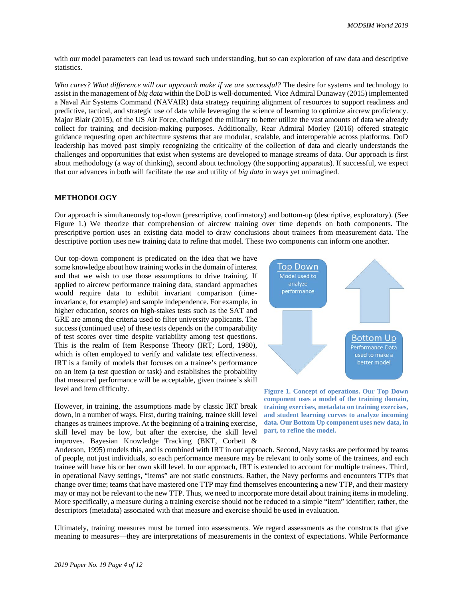with our model parameters can lead us toward such understanding, but so can exploration of raw data and descriptive statistics.

*Who cares? What difference will our approach make if we are successful?* The desire for systems and technology to assist in the management of *big data* within the DoD is well-documented. Vice Admiral Dunaway (2015) implemented a Naval Air Systems Command (NAVAIR) data strategy requiring alignment of resources to support readiness and predictive, tactical, and strategic use of data while leveraging the science of learning to optimize aircrew proficiency. Major Blair (2015), of the US Air Force, challenged the military to better utilize the vast amounts of data we already collect for training and decision-making purposes. Additionally, Rear Admiral Morley (2016) offered strategic guidance requesting open architecture systems that are modular, scalable, and interoperable across platforms. DoD leadership has moved past simply recognizing the criticality of the collection of data and clearly understands the challenges and opportunities that exist when systems are developed to manage streams of data. Our approach is first about methodology (a way of thinking), second about technology (the supporting apparatus). If successful, we expect that our advances in both will facilitate the use and utility of *big data* in ways yet unimagined.

### **METHODOLOGY**

Our approach is simultaneously top-down (prescriptive, confirmatory) and bottom-up (descriptive, exploratory). (See Figure 1.) We theorize that comprehension of aircrew training over time depends on both components. The prescriptive portion uses an existing data model to draw conclusions about trainees from measurement data. The descriptive portion uses new training data to refine that model. These two components can inform one another.

Our top-down component is predicated on the idea that we have some knowledge about how training works in the domain of interest and that we wish to use those assumptions to drive training. If applied to aircrew performance training data, standard approaches would require data to exhibit invariant comparison (timeinvariance, for example) and sample independence. For example, in higher education, scores on high-stakes tests such as the SAT and GRE are among the criteria used to filter university applicants. The success (continued use) of these tests depends on the comparability of test scores over time despite variability among test questions. This is the realm of Item Response Theory (IRT; Lord, 1980), which is often employed to verify and validate test effectiveness. IRT is a family of models that focuses on a trainee's performance on an item (a test question or task) and establishes the probability that measured performance will be acceptable, given trainee's skill level and item difficulty.

However, in training, the assumptions made by classic IRT break down, in a number of ways. First, during training, trainee skill level changes as trainees improve. At the beginning of a training exercise, skill level may be low, but after the exercise, the skill level improves. Bayesian Knowledge Tracking (BKT, Corbett &



**Figure 1. Concept of operations. Our Top Down component uses a model of the training domain, training exercises, metadata on training exercises, and student learning curves to analyze incoming data. Our Bottom Up component uses new data, in part, to refine the model.**

Anderson, 1995) models this, and is combined with IRT in our approach. Second, Navy tasks are performed by teams of people, not just individuals, so each performance measure may be relevant to only some of the trainees, and each trainee will have his or her own skill level. In our approach, IRT is extended to account for multiple trainees. Third, in operational Navy settings, "items" are not static constructs. Rather, the Navy performs and encounters TTPs that change over time; teams that have mastered one TTP may find themselves encountering a new TTP, and their mastery may or may not be relevant to the new TTP. Thus, we need to incorporate more detail about training items in modeling. More specifically, a measure during a training exercise should not be reduced to a simple "item" identifier; rather, the descriptors (metadata) associated with that measure and exercise should be used in evaluation.

Ultimately, training measures must be turned into assessments. We regard assessments as the constructs that give meaning to measures—they are interpretations of measurements in the context of expectations. While Performance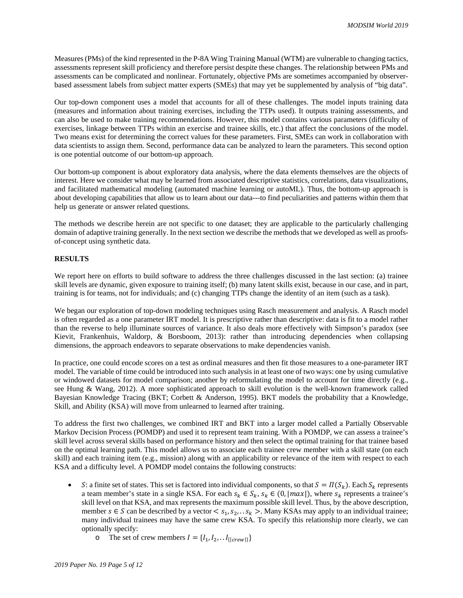Measures(PMs) of the kind represented in the P-8A Wing Training Manual (WTM) are vulnerable to changing tactics, assessments represent skill proficiency and therefore persist despite these changes. The relationship between PMs and assessments can be complicated and nonlinear. Fortunately, objective PMs are sometimes accompanied by observerbased assessment labels from subject matter experts (SMEs) that may yet be supplemented by analysis of "big data".

Our top-down component uses a model that accounts for all of these challenges. The model inputs training data (measures and information about training exercises, including the TTPs used). It outputs training assessments, and can also be used to make training recommendations. However, this model contains various parameters (difficulty of exercises, linkage between TTPs within an exercise and trainee skills, etc.) that affect the conclusions of the model. Two means exist for determining the correct values for these parameters. First, SMEs can work in collaboration with data scientists to assign them. Second, performance data can be analyzed to learn the parameters. This second option is one potential outcome of our bottom-up approach.

Our bottom-up component is about exploratory data analysis, where the data elements themselves are the objects of interest. Here we consider what may be learned from associated descriptive statistics, correlations, data visualizations, and facilitated mathematical modeling (automated machine learning or autoML). Thus, the bottom-up approach is about developing capabilities that allow us to learn about our data---to find peculiarities and patterns within them that help us generate or answer related questions.

The methods we describe herein are not specific to one dataset; they are applicable to the particularly challenging domain of adaptive training generally. In the next section we describe the methods that we developed as well as proofsof-concept using synthetic data.

## **RESULTS**

We report here on efforts to build software to address the three challenges discussed in the last section: (a) trainee skill levels are dynamic, given exposure to training itself; (b) many latent skills exist, because in our case, and in part, training is for teams, not for individuals; and (c) changing TTPs change the identity of an item (such as a task).

We began our exploration of top-down modeling techniques using Rasch measurement and analysis. A Rasch model is often regarded as a one parameter IRT model. It is prescriptive rather than descriptive: data is fit to a model rather than the reverse to help illuminate sources of variance. It also deals more effectively with Simpson's paradox (see Kievit, Frankenhuis, Waldorp, & Borsboom, 2013): rather than introducing dependencies when collapsing dimensions, the approach endeavors to separate observations to make dependencies vanish.

In practice, one could encode scores on a test as ordinal measures and then fit those measures to a one-parameter IRT model. The variable of time could be introduced into such analysis in at least one of two ways: one by using cumulative or windowed datasets for model comparison; another by reformulating the model to account for time directly (e.g., see Hung & Wang, 2012). A more sophisticated approach to skill evolution is the well-known framework called Bayesian Knowledge Tracing (BKT; Corbett & Anderson, 1995). BKT models the probability that a Knowledge, Skill, and Ability (KSA) will move from unlearned to learned after training.

To address the first two challenges, we combined IRT and BKT into a larger model called a Partially Observable Markov Decision Process (POMDP) and used it to represent team training. With a POMDP, we can assess a trainee's skill level across several skills based on performance history and then select the optimal training for that trainee based on the optimal learning path. This model allows us to associate each trainee crew member with a skill state (on each skill) and each training item (e.g., mission) along with an applicability or relevance of the item with respect to each KSA and a difficulty level. A POMDP model contains the following constructs:

- *S*: a finite set of states. This set is factored into individual components, so that  $S = \Pi(S_k)$ . Each  $S_k$  represents a team member's state in a single KSA. For each  $s_k \in S_k$ ,  $s_k \in (0, |max|)$ , where  $s_k$  represents a trainee's skill level on that KSA, and max represents the maximum possible skill level. Thus, by the above description, member  $s \in S$  can be described by a vector  $\langle s_1, s_2, \ldots s_k \rangle$ . Many KSAs may apply to an individual trainee; many individual trainees may have the same crew KSA. To specify this relationship more clearly, we can optionally specify:
	- o The set of crew members  $I = \{I_1, I_2, \ldots I_{\{|crew|\}}\}$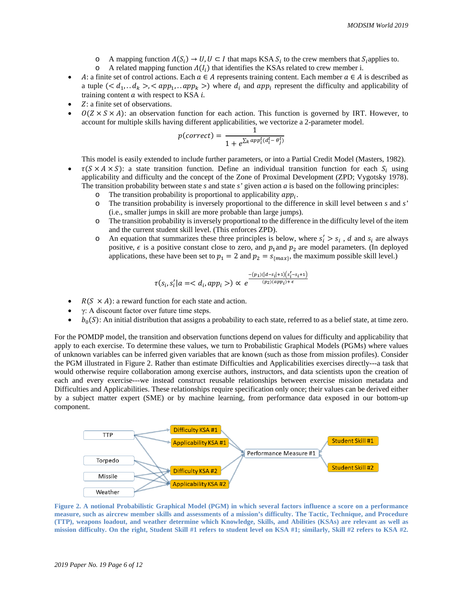- o A mapping function  $\Lambda(S_i)$  →  $U, U \subset I$  that maps KSA  $S_i$  to the crew members that  $S_i$  applies to.<br>  $\Lambda$  related mapping function  $\Lambda(I_i)$  that identifies the KSAs related to crew member i.
- A related mapping function  $\Lambda(I_i)$  that identifies the KSAs related to crew member i.
- A: a finite set of control actions. Each  $a \in A$  represents training content. Each member  $a \in A$  is described as a tuple  $(< d_1, d_k >, )$  where  $d_i$  and app<sub>i</sub> represent the difficulty and applicability of training content  $a$  with respect to KSA  $i$ .
- Z: a finite set of observations.
- $O(Z \times S \times A)$ : an observation function for each action. This function is governed by IRT. However, to account for multiple skills having different applicabilities, we vectorize a 2-parameter model.

$$
p(correct) = \frac{1}{1 + e^{\sum_k app_i^t (d_i^t - \theta_j^t)}}
$$

This model is easily extended to include further parameters, or into a Partial Credit Model (Masters, 1982).

- $\tau(S \times A \times S)$ : a state transition function. Define an individual transition function for each  $S_i$  using applicability and difficulty and the concept of the Zone of Proximal Development (ZPD; Vygotsky 1978). The transition probability between state  $s$  and state  $s'$  given action  $a$  is based on the following principles:
	- $\circ$  The transition probability is proportional to applicability  $app_i$ .<br>  $\circ$  The transition probability is inversely proportional to the different
	- o The transition probability is inversely proportional to the difference in skill level between *s* and *s'* (i.e., smaller jumps in skill are more probable than large jumps).
	- o The transition probability is inversely proportional to the difference in the difficulty level of the item and the current student skill level. (This enforces ZPD).
	- $\circ$  An equation that summarizes these three principles is below, where  $s_i' > s_i$ , d and  $s_i$  are always positive,  $\epsilon$  is a positive constant close to zero, and  $p_1$  and  $p_2$  are model parameters. (In deployed applications, these have been set to  $p_1 = 2$  and  $p_2 = s_{\{max\}}$ , the maximum possible skill level.)

$$
\tau(s_i,s_i'|a=) \propto e^{\frac{-(p_1)(|d-s_i|+1)(s_i'-s_i+1)}{(p_2)(app_i)+\epsilon}}
$$

- $R(S \times A)$ : a reward function for each state and action.
- $γ: A discount factor over future time steps.$
- $b_0(S)$ : An initial distribution that assigns a probability to each state, referred to as a belief state, at time zero.

For the POMDP model, the transition and observation functions depend on values for difficulty and applicability that apply to each exercise. To determine these values, we turn to Probabilistic Graphical Models (PGMs) where values of unknown variables can be inferred given variables that are known (such as those from mission profiles). Consider the PGM illustrated in Figure 2. Rather than estimate Difficulties and Applicabilities exercises directly---a task that would otherwise require collaboration among exercise authors, instructors, and data scientists upon the creation of each and every exercise---we instead construct reusable relationships between exercise mission metadata and Difficulties and Applicabilities. These relationships require specification only once; their values can be derived either by a subject matter expert (SME) or by machine learning, from performance data exposed in our bottom-up component.



**Figure 2. A notional Probabilistic Graphical Model (PGM) in which several factors influence a score on a performance measure, such as aircrew member skills and assessments of a mission's difficulty. The Tactic, Technique, and Procedure (TTP), weapons loadout, and weather determine which Knowledge, Skills, and Abilities (KSAs) are relevant as well as mission difficulty. On the right, Student Skill #1 refers to student level on KSA #1; similarly, Skill #2 refers to KSA #2.**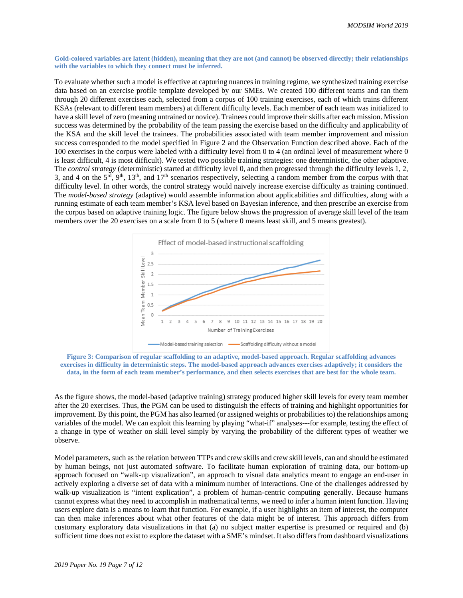### **Gold-colored variables are latent (hidden), meaning that they are not (and cannot) be observed directly; their relationships with the variables to which they connect must be inferred.**

To evaluate whether such a model is effective at capturing nuances in training regime, we synthesized training exercise data based on an exercise profile template developed by our SMEs. We created 100 different teams and ran them through 20 different exercises each, selected from a corpus of 100 training exercises, each of which trains different KSAs (relevant to different team members) at different difficulty levels. Each member of each team was initialized to have a skill level of zero (meaning untrained or novice). Trainees could improve their skills after each mission. Mission success was determined by the probability of the team passing the exercise based on the difficulty and applicability of the KSA and the skill level the trainees. The probabilities associated with team member improvement and mission success corresponded to the model specified in Figure 2 and the Observation Function described above. Each of the 100 exercises in the corpus were labeled with a difficulty level from 0 to 4 (an ordinal level of measurement where 0 is least difficult, 4 is most difficult). We tested two possible training strategies: one deterministic, the other adaptive. The *control strategy* (deterministic) started at difficulty level 0, and then progressed through the difficulty levels 1, 2, 3, and 4 on the  $5<sup>rd</sup>$ ,  $9<sup>th</sup>$ ,  $13<sup>th</sup>$ , and  $17<sup>th</sup>$  scenarios respectively, selecting a random member from the corpus with that difficulty level. In other words, the control strategy would naively increase exercise difficulty as training continued. The *model-based strategy* (adaptive) would assemble information about applicabilities and difficulties, along with a running estimate of each team member's KSA level based on Bayesian inference, and then prescribe an exercise from the corpus based on adaptive training logic. The figure below shows the progression of average skill level of the team members over the 20 exercises on a scale from 0 to 5 (where 0 means least skill, and 5 means greatest).





As the figure shows, the model-based (adaptive training) strategy produced higher skill levels for every team member after the 20 exercises. Thus, the PGM can be used to distinguish the effects of training and highlight opportunities for improvement. By this point, the PGM has also learned (or assigned weights or probabilities to) the relationships among variables of the model. We can exploit this learning by playing "what-if" analyses---for example, testing the effect of a change in type of weather on skill level simply by varying the probability of the different types of weather we observe.

Model parameters, such as the relation between TTPs and crew skills and crew skill levels, can and should be estimated by human beings, not just automated software. To facilitate human exploration of training data, our bottom-up approach focused on "walk-up visualization", an approach to visual data analytics meant to engage an end-user in actively exploring a diverse set of data with a minimum number of interactions. One of the challenges addressed by walk-up visualization is "intent explication", a problem of human-centric computing generally. Because humans cannot express what they need to accomplish in mathematical terms, we need to infer a human intent function. Having users explore data is a means to learn that function. For example, if a user highlights an item of interest, the computer can then make inferences about what other features of the data might be of interest. This approach differs from customary exploratory data visualizations in that (a) no subject matter expertise is presumed or required and (b) sufficient time does not exist to explore the dataset with a SME's mindset. It also differs from dashboard visualizations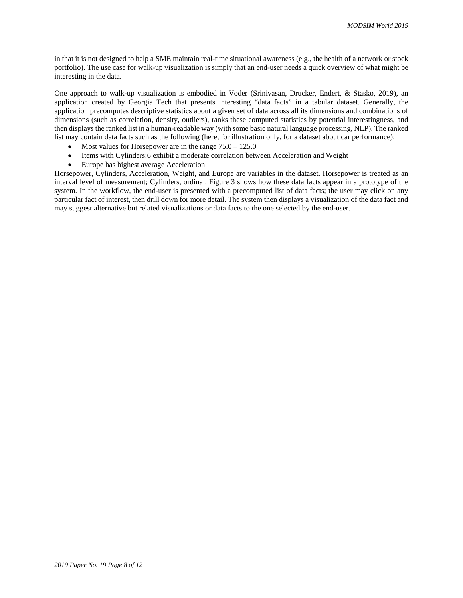in that it is not designed to help a SME maintain real-time situational awareness (e.g., the health of a network or stock portfolio). The use case for walk-up visualization is simply that an end-user needs a quick overview of what might be interesting in the data.

One approach to walk-up visualization is embodied in Voder (Srinivasan, Drucker, Endert, & Stasko, 2019), an application created by Georgia Tech that presents interesting "data facts" in a tabular dataset. Generally, the application precomputes descriptive statistics about a given set of data across all its dimensions and combinations of dimensions (such as correlation, density, outliers), ranks these computed statistics by potential interestingness, and then displays the ranked list in a human-readable way (with some basic natural language processing, NLP). The ranked list may contain data facts such as the following (here, for illustration only, for a dataset about car performance):

- Most values for Horsepower are in the range  $75.0 125.0$
- Items with Cylinders:6 exhibit a moderate correlation between Acceleration and Weight
- Europe has highest average Acceleration

Horsepower, Cylinders, Acceleration, Weight, and Europe are variables in the dataset. Horsepower is treated as an interval level of measurement; Cylinders, ordinal. Figure 3 shows how these data facts appear in a prototype of the system. In the workflow, the end-user is presented with a precomputed list of data facts; the user may click on any particular fact of interest, then drill down for more detail. The system then displays a visualization of the data fact and may suggest alternative but related visualizations or data facts to the one selected by the end-user.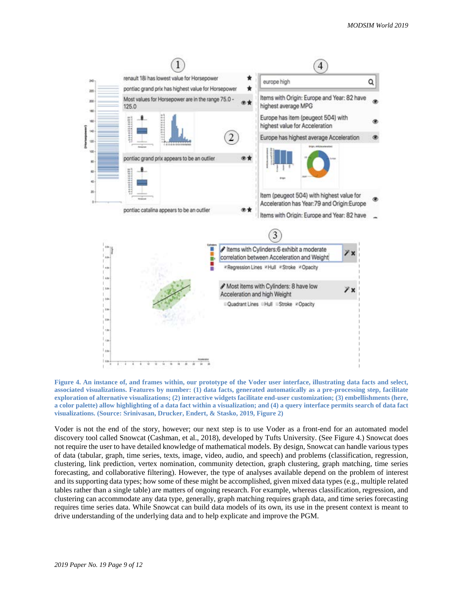

**Figure 4. An instance of, and frames within, our prototype of the Voder user interface, illustrating data facts and select, associated visualizations. Features by number: (1) data facts, generated automatically as a pre-processing step, facilitate exploration of alternative visualizations; (2) interactive widgets facilitate end-user customization; (3) embellishments (here, a color palette) allow highlighting of a data fact within a visualization; and (4) a query interface permits search of data fact visualizations. (Source: Srinivasan, Drucker, Endert, & Stasko, 2019, Figure 2)**

Voder is not the end of the story, however; our next step is to use Voder as a front-end for an automated model discovery tool called Snowcat (Cashman, et al., 2018), developed by Tufts University. (See Figure 4.) Snowcat does not require the user to have detailed knowledge of mathematical models. By design, Snowcat can handle various types of data (tabular, graph, time series, texts, image, video, audio, and speech) and problems (classification, regression, clustering, link prediction, vertex nomination, community detection, graph clustering, graph matching, time series forecasting, and collaborative filtering). However, the type of analyses available depend on the problem of interest and its supporting data types; how some of these might be accomplished, given mixed data types (e.g., multiple related tables rather than a single table) are matters of ongoing research. For example, whereas classification, regression, and clustering can accommodate any data type, generally, graph matching requires graph data, and time series forecasting requires time series data. While Snowcat can build data models of its own, its use in the present context is meant to drive understanding of the underlying data and to help explicate and improve the PGM.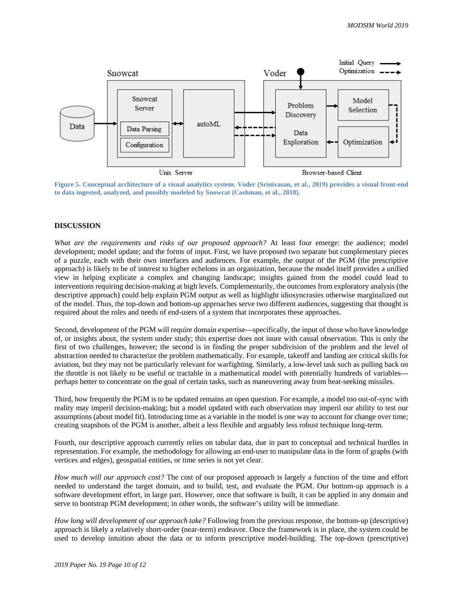

**Figure 5. Conceptual architecture of a visual analytics system. Voder (Srinivasan, et al., 2019) provides a visual front-end to data ingested, analyzed, and possibly modeled by Snowcat (Cashman, et al., 2018).** 

# **DISCUSSION**

*What are the requirements and risks of our proposed approach?* At least four emerge: the audience; model development; model update; and the forms of input. First, we have proposed two separate but complementary pieces of a puzzle, each with their own interfaces and audiences. For example, the output of the PGM (the prescriptive approach) is likely to be of interest to higher echelons in an organization, because the model itself provides a unified view in helping explicate a complex and changing landscape; insights gained from the model could lead to interventions requiring decision-making at high levels. Complementarily, the outcomes from exploratory analysis (the descriptive approach) could help explain PGM output as well as highlight idiosyncrasies otherwise marginalized out of the model. Thus, the top-down and bottom-up approaches serve two different audiences, suggesting that thought is required about the roles and needs of end-users of a system that incorporates these approaches.

Second, development of the PGM will require domain expertise---specifically, the input of those who have knowledge of, or insights about, the system under study; this expertise does not inure with casual observation. This is only the first of two challenges, however; the second is in finding the proper subdivision of the problem and the level of abstraction needed to characterize the problem mathematically. For example, takeoff and landing are critical skills for aviation, but they may not be particularly relevant for warfighting. Similarly, a low-level task such as pulling back on the throttle is not likely to be useful or tractable in a mathematical model with potentially hundreds of variables-- perhaps better to concentrate on the goal of certain tasks, such as maneuvering away from heat-seeking missiles.

Third, how frequently the PGM is to be updated remains an open question. For example, a model too out-of-sync with reality may imperil decision-making; but a model updated with each observation may imperil our ability to test our assumptions (about model fit). Introducing time as a variable in the model is one way to account for change over time; creating snapshots of the PGM is another, albeit a less flexible and arguably less robust technique long-term.

Fourth, our descriptive approach currently relies on tabular data, due in part to conceptual and technical hurdles in representation. For example, the methodology for allowing an end-user to manipulate data in the form of graphs (with vertices and edges), geospatial entities, or time series is not yet clear.

*How much will our approach cost?* The cost of our proposed approach is largely a function of the time and effort needed to understand the target domain, and to build, test, and evaluate the PGM. Our bottom-up approach is a software development effort, in large part. However, once that software is built, it can be applied in any domain and serve to bootstrap PGM development; in other words, the software's utility will be immediate.

*How long will development of our approach take?* Following from the previous response, the bottom-up (descriptive) approach is likely a relatively short-order (near-term) endeavor. Once the framework is in place, the system could be used to develop intuition about the data or to inform prescriptive model-building. The top-down (prescriptive)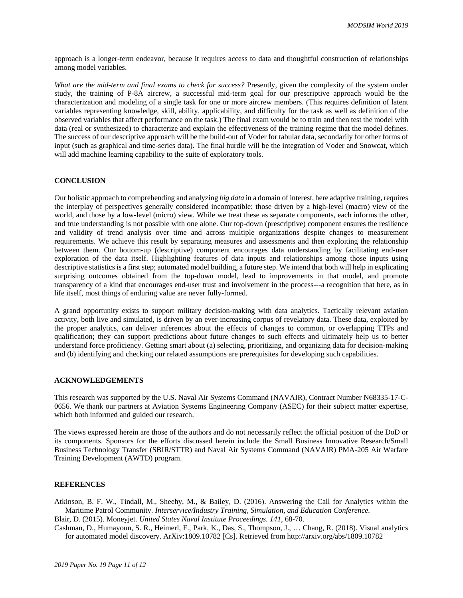approach is a longer-term endeavor, because it requires access to data and thoughtful construction of relationships among model variables.

*What are the mid-term and final exams to check for success?* Presently, given the complexity of the system under study, the training of P-8A aircrew, a successful mid-term goal for our prescriptive approach would be the characterization and modeling of a single task for one or more aircrew members. (This requires definition of latent variables representing knowledge, skill, ability, applicability, and difficulty for the task as well as definition of the observed variables that affect performance on the task.) The final exam would be to train and then test the model with data (real or synthesized) to characterize and explain the effectiveness of the training regime that the model defines. The success of our descriptive approach will be the build-out of Voder for tabular data, secondarily for other forms of input (such as graphical and time-series data). The final hurdle will be the integration of Voder and Snowcat, which will add machine learning capability to the suite of exploratory tools.

# **CONCLUSION**

Our holistic approach to comprehending and analyzing *big data* in a domain of interest, here adaptive training, requires the interplay of perspectives generally considered incompatible: those driven by a high-level (macro) view of the world, and those by a low-level (micro) view. While we treat these as separate components, each informs the other, and true understanding is not possible with one alone. Our top-down (prescriptive) component ensures the resilience and validity of trend analysis over time and across multiple organizations despite changes to measurement requirements. We achieve this result by separating measures and assessments and then exploiting the relationship between them. Our bottom-up (descriptive) component encourages data understanding by facilitating end-user exploration of the data itself. Highlighting features of data inputs and relationships among those inputs using descriptive statistics is a first step; automated model building, a future step. We intend that both will help in explicating surprising outcomes obtained from the top-down model, lead to improvements in that model, and promote transparency of a kind that encourages end-user trust and involvement in the process---a recognition that here, as in life itself, most things of enduring value are never fully-formed.

A grand opportunity exists to support military decision-making with data analytics. Tactically relevant aviation activity, both live and simulated, is driven by an ever-increasing corpus of revelatory data. These data, exploited by the proper analytics, can deliver inferences about the effects of changes to common, or overlapping TTPs and qualification; they can support predictions about future changes to such effects and ultimately help us to better understand force proficiency. Getting smart about (a) selecting, prioritizing, and organizing data for decision-making and (b) identifying and checking our related assumptions are prerequisites for developing such capabilities.

### **ACKNOWLEDGEMENTS**

This research was supported by the U.S. Naval Air Systems Command (NAVAIR), Contract Number N68335-17-C-0656. We thank our partners at Aviation Systems Engineering Company (ASEC) for their subject matter expertise, which both informed and guided our research.

The views expressed herein are those of the authors and do not necessarily reflect the official position of the DoD or its components. Sponsors for the efforts discussed herein include the Small Business Innovative Research/Small Business Technology Transfer (SBIR/STTR) and Naval Air Systems Command (NAVAIR) PMA-205 Air Warfare Training Development (AWTD) program.

# **REFERENCES**

Atkinson, B. F. W., Tindall, M., Sheehy, M., & Bailey, D. (2016). Answering the Call for Analytics within the Maritime Patrol Community. *Interservice/Industry Training, Simulation, and Education Conference.*  Blair, D. (2015). Moneyjet. *United States Naval Institute Proceedings. 141*, 68-70.

Cashman, D., Humayoun, S. R., Heimerl, F., Park, K., Das, S., Thompson, J., … Chang, R. (2018). Visual analytics for automated model discovery. ArXiv:1809.10782 [Cs]. Retrieved from http://arxiv.org/abs/1809.10782